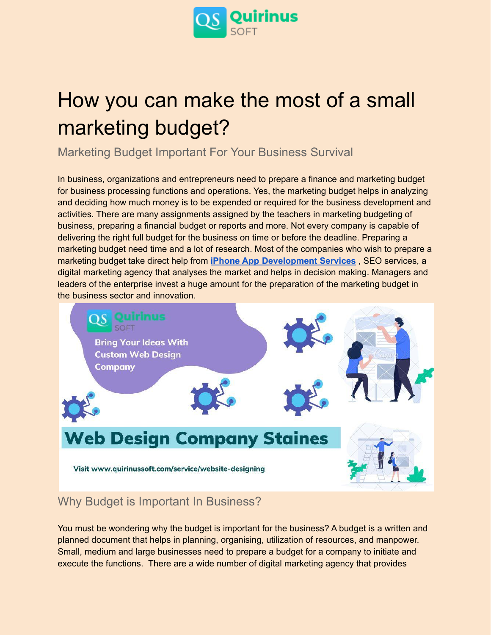

# How you can make the most of a small marketing budget?

Marketing Budget Important For Your Business Survival

In business, organizations and entrepreneurs need to prepare a finance and marketing budget for business processing functions and operations. Yes, the marketing budget helps in analyzing and deciding how much money is to be expended or required for the business development and activities. There are many assignments assigned by the teachers in marketing budgeting of business, preparing a financial budget or reports and more. Not every company is capable of delivering the right full budget for the business on time or before the deadline. Preparing a marketing budget need time and a lot of research. Most of the companies who wish to prepare a marketing budget take direct help from **iPhone App [Development](https://www.quirinussoft.com/service/iphone-app-development) Services** , SEO services, a digital marketing agency that analyses the market and helps in decision making. Managers and leaders of the enterprise invest a huge amount for the preparation of the marketing budget in the business sector and innovation.



#### Why Budget is Important In Business?

You must be wondering why the budget is important for the business? A budget is a written and planned document that helps in planning, organising, utilization of resources, and manpower. Small, medium and large businesses need to prepare a budget for a company to initiate and execute the functions. There are a wide number of digital marketing agency that provides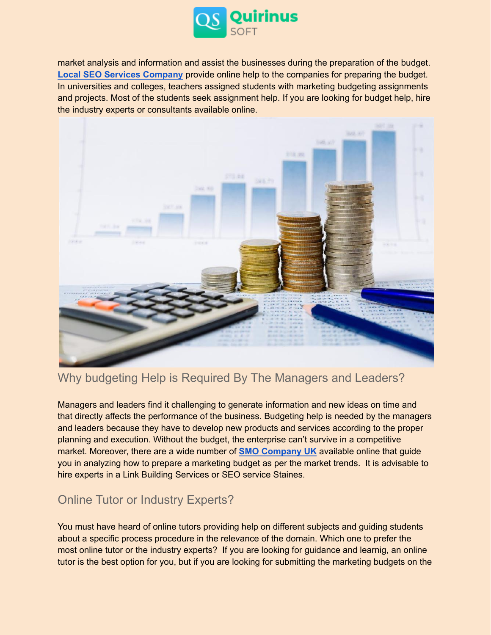

market analysis and information and assist the businesses during the preparation of the budget. **Local SEO Services [Company](https://www.quirinussoft.com/service/local-seo-services)** provide online help to the companies for preparing the budget. In universities and colleges, teachers assigned students with marketing budgeting assignments and projects. Most of the students seek assignment help. If you are looking for budget help, hire the industry experts or consultants available online.



Why budgeting Help is Required By The Managers and Leaders?

Managers and leaders find it challenging to generate information and new ideas on time and that directly affects the performance of the business. Budgeting help is needed by the managers and leaders because they have to develop new products and services according to the proper planning and execution. Without the budget, the enterprise can't survive in a competitive market. Moreover, there are a wide number of **SMO [Company](https://www.quirinussoft.com/service/social-media-optimisation) UK** available online that guide you in analyzing how to prepare a marketing budget as per the market trends. It is advisable to hire experts in a Link Building Services or SEO service Staines.

# Online Tutor or Industry Experts?

You must have heard of online tutors providing help on different subjects and guiding students about a specific process procedure in the relevance of the domain. Which one to prefer the most online tutor or the industry experts? If you are looking for guidance and learnig, an online tutor is the best option for you, but if you are looking for submitting the marketing budgets on the